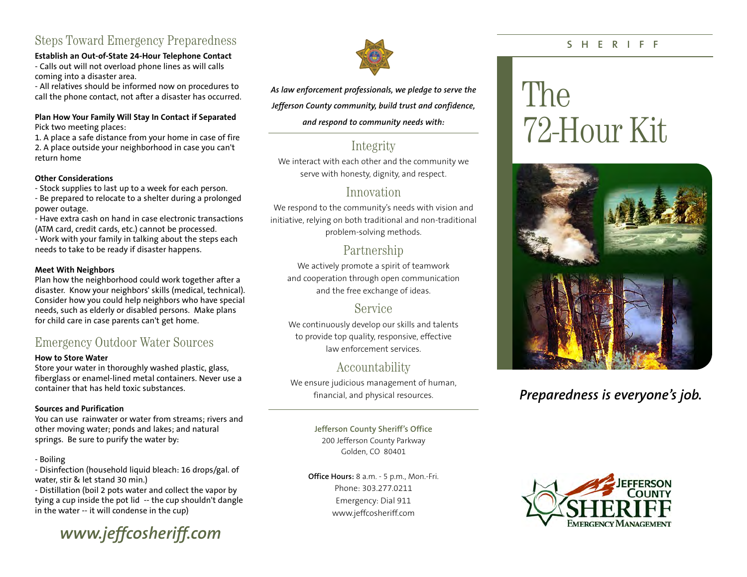## Steps Toward Emergency Preparedness

#### **Establish an Out-of-State 24-Hour Telephone Contact**

- Calls out will not overload phone lines as will calls coming into a disaster area.

- All relatives should be informed now on procedures to call the phone contact, not after a disaster has occurred.

#### **Plan How Your Family Will Stay In Contact if Separated**  Pick two meeting places:

1. A place a safe distance from your home in case of fire 2. A place outside your neighborhood in case you can't return home

#### **Other Considerations**

- Stock supplies to last up to a week for each person.

- Be prepared to relocate to a shelter during a prolonged power outage.

- Have extra cash on hand in case electronic transactions (ATM card, credit cards, etc.) cannot be processed. - Work with your family in talking about the steps each

needs to take to be ready if disaster happens.

#### **Meet With Neighbors**

Plan how the neighborhood could work together after a disaster. Know your neighbors' skills (medical, technical). Consider how you could help neighbors who have special needs, such as elderly or disabled persons. Make plans for child care in case parents can't ge<sup>t</sup> home.

#### Emergency Outdoor Water Sources

#### **How to Store Water**

Store your water in thoroughly washed plastic, glass, fiberglass or enamel-lined metal containers. Never use a container that has held toxic substances.

#### **Sources and Purification**

You can use rainwater or water from streams; rivers and other moving water; ponds and lakes; and natural springs. Be sure to purify the water by:

#### - Boiling

- Disinfection (household liquid bleach: 16 drops/gal. of water, stir & let stand 30 min.)

- Distillation (boil 2 pots water and collect the vapor by tying a cup inside the pot lid -- the cup shouldn't dangle in the water -- it will condense in the cup)





*As law enforcement professionals, we pledge to serve the*

*Jefferson County community, build trust and confidence,* 

#### *and respond to community needs with:*

### Integrity

We interact with each other and the community we serve with honesty, dignity, and respect.

#### Innovation

We respond to the community's needs with vision and initiative, relying on both traditional and non-traditional problem-solving methods.

#### Partnership

We actively promote a spirit of teamwork and cooperation through open communication and the free exchange of ideas.

#### Service

We continuously develop our skills and talents to provide top quality, responsive, effective law enforcement services.

## Accountability

We ensure judicious management of human, financial, and physical resources.

> **Jefferson County Sheriff's Office**  200 Jefferson County Parkway Golden, CO 80401

**Office Hours:** 8 a.m. - 5 p.m., Mon.-Fri. Phone: 303.277.0211 Emergency: Dial 911 www.jeffcosheriff.com

#### **SHERIFF**

# The 72-Hour Kit



## *Preparedness is everyone's job.*